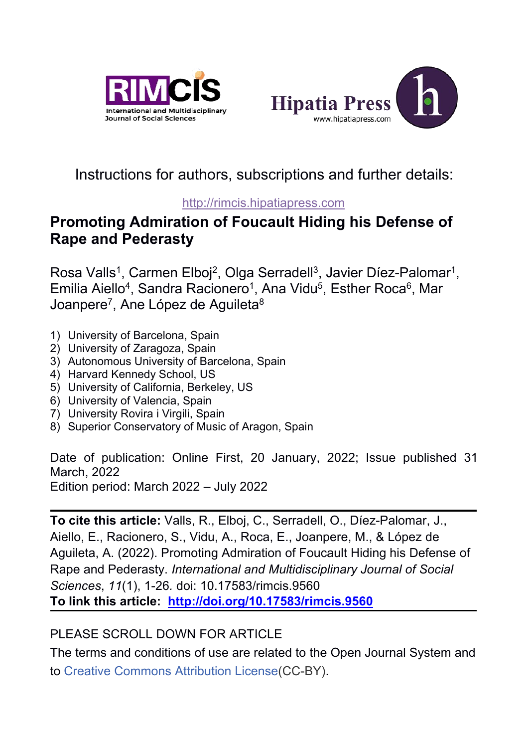



# Instructions for authors, subscriptions and further details:

#### [http://rimcis.hipatiapress.com](http://rimcis.hipatiapress.com/)

# **Promoting Admiration of Foucault Hiding his Defense of Rape and Pederasty**

Rosa Valls<sup>1</sup>, Carmen Elboj<sup>2</sup>, Olga Serradell<sup>3</sup>, Javier Díez-Palomar<sup>1</sup>,  $\overline{\phantom{a}}$ Emilia Aiello<sup>4</sup>, Sandra Racionero<sup>1</sup>, Ana Vidu<sup>5</sup>, Esther Roca<sup>6</sup>, Mar Joanpere<sup>7</sup>, Ane López de Aguileta<sup>8</sup> 8

- 1) University of Barcelona, Spain
- 2) University of Zaragoza, Spain
- 3) Autonomous University of Barcelona, Spain
- 4) Harvard Kennedy School, US
- 5) University of California, Berkeley, US
- 6) University of Valencia, Spain
- 7) University Rovira i Virgili, Spain
- 8) Superior Conservatory of Music of Aragon, Spain

Date of publication: Online First, 20 January, 2022; Issue published 31 March, 2022

Edition period: March 2022 – July 2022

**To cite this article:** Valls, R., Elboj, C., Serradell, O., Díez-Palomar, J., Aiello, E., Racionero, S., Vidu, A., Roca, E., Joanpere, M., & López de Aguileta, A. (2022). Promoting Admiration of Foucault Hiding his Defense of Rape and Pederasty. *International and Multidisciplinary Journal of Social Sciences*, *11*(1), 1-26*.* doi: 10.17583/rimcis.9560 **To link this article: http://doi.org/10.17583/rimcis.9560**

# PLEASE SCROLL DOWN FOR ARTICLE

The terms and conditions of use are related to the Open Journal System and to Creative [Commons](http://creativecommons.org/licenses/by/4.0/) Attribution License(CC-BY).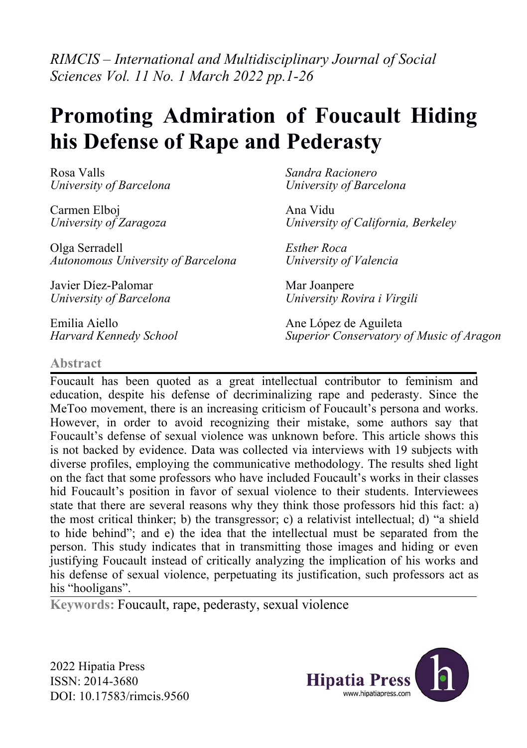*RIMCIS – International and Multidisciplinary Journal of Social Sciences Vol. 11 No. 1 March 2022 pp.1-26*

# **Promoting Admiration of Foucault Hiding his Defense of Rape and Pederasty**

Rosa Valls *University of Barcelona*

Carmen Elboj *University of Zaragoza*

Olga Serradell *Autonomous University of Barcelona*

Javier Díez-Palomar *University of Barcelona*

Emilia Aiello *Harvard Kennedy School* *Sandra Racionero University of Barcelona*

Ana Vidu *University of California, Berkeley*

*Esther Roca University of Valencia*

Mar Joanpere *University Rovira i Virgili*

Ane López de Aguileta *Superior Conservatory of Music of Aragon*

#### **Abstract**

Foucault has been quoted as a great intellectual contributor to feminism and education, despite his defense of decriminalizing rape and pederasty. Since the MeToo movement, there is an increasing criticism of Foucault's persona and works. However, in order to avoid recognizing their mistake, some authors say that Foucault's defense of sexual violence was unknown before. This article shows this is not backed by evidence. Data was collected via interviews with 19 subjects with diverse profiles, employing the communicative methodology. The results shed light on the fact that some professors who have included Foucault's works in their classes hid Foucault's position in favor of sexual violence to their students. Interviewees state that there are several reasons why they think those professors hid this fact:a) the most critical thinker; b) the transgressor; c) a relativist intellectual; d) "a shield to hide behind"; and e) the idea that the intellectual must be separated from the person. This study indicates that in transmitting those images and hiding or even justifying Foucault instead of critically analyzing the implication of his works and his defense of sexual violence, perpetuating its justification, such professors act as his "hooligans".

**Keywords:** Foucault, rape, pederasty, sexual violence

2022 Hipatia Press ISSN: 2014-3680 DOI: 10.17583/rimcis.9560

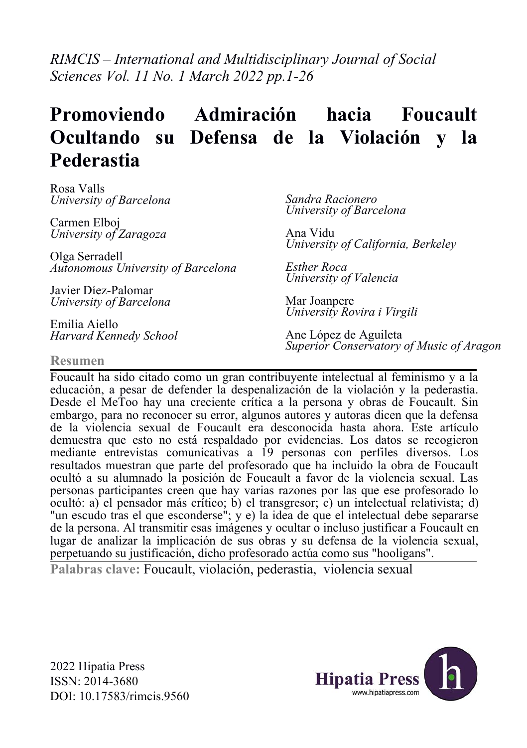*RIMCIS – International and Multidisciplinary Journal of Social Sciences Vol. 11 No. 1 March 2022 pp.1-26*

# **Promoviendo Admiración hacia Foucault Ocultando su Defensa de la Violación y la Pederastia**

Rosa Valls *University of Barcelona*

Carmen Elboj *University of Zaragoza*

Olga Serradell *Autonomous University of Barcelona*

Javier Díez-Palomar *University of Barcelona*

Emilia Aiello *Harvard Kennedy School* *Sandra Racionero University of Barcelona*

Ana Vidu *University of California, Berkeley*

*Esther Roca University of Valencia*

Mar Joanpere *University Rovira i Virgili*

Ane López de Aguileta *Superior Conservatory of Music of Aragon*

#### **Resumen**

Foucault ha sido citado como un gran contribuyente intelectual al feminismo y a la educación, a pesar de defender la despenalización de la violación y lapederastia. Desde el MeToo hay una creciente crítica a la persona y obras de Foucault. Sin embargo, para no reconocer su error, algunos autores y autoras dicen que la defensa de la violencia sexual de Foucault era desconocida hasta ahora. Este artículo demuestra que esto no está respaldado por evidencias. Los datos se recogieron mediante entrevistas comunicativas a 19 personas con perfiles diversos. Los resultados muestran que parte del profesorado que ha incluido laobra de Foucault ocultó a su alumnado la posición de Foucault a favor de la violencia sexual. Las personas participantes creen que hay varias razones por las que ese profesorado lo ocultó: a) elpensador más crítico; b) el transgresor; c) un intelectual relativista; d) "un escudo tras el que esconderse"; y e) la idea de que el intelectual debe separarse de la persona.Al transmitir esas imágenes y ocultar o incluso justificar a Foucault en lugar de analizar la implicación de sus obras y su defensa de la violencia sexual, perpetuando su justificación, dicho profesorado actúa como sus "hooligans".

**Palabras clave:** Foucault, violación, pederastia, violencia sexual

2022 Hipatia Press ISSN: 2014-3680 DOI: 10.17583/rimcis.9560

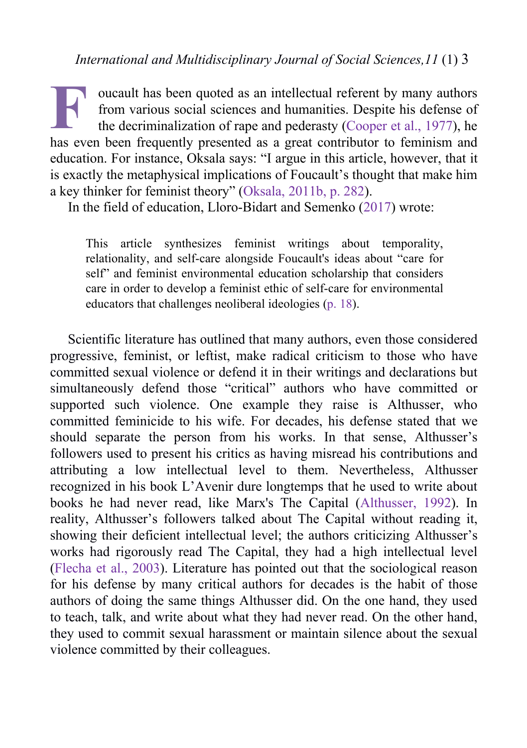oucault has been quoted as an intellectual referent by many authors from various social sciences and humanities. Despite his defense of the decriminalization of rape and pederasty [\(Cooper](#page-24-0) et al., 1977), he **F** oucault has been quoted as an intellectual referent by many authors from various social sciences and humanities. Despite his defense of the decriminalization of rape and pederasty (Cooper et al., 1977), he has even bee education. For instance, Oksala says: "I argue in this article, however, that it is exactly the metaphysical implications of Foucault's thought that make him a key thinker for feminist theory" ([Oksala,](#page-25-0) 2011b, p. 282).

In the field of education, Lloro-Bidart and Semenko ([2017\)](#page-25-0) wrote:

This article synthesizes feminist writings about temporality, relationality, and self-care alongside Foucault's ideas about "care for self" and feminist environmental education scholarship that considers care in order to develop a feminist ethic of self-care for environmental educators that challenges neoliberal ideologies (p. [18\)](#page-25-0).

Scientific literature has outlined that many authors, even those considered progressive, feminist, or leftist, make radical criticism to those who have committed sexual violence or defend it in their writings and declarations but simultaneously defend those "critical" authors who have committed or supported such violence. One example they raise is Althusser, who committed feminicide to his wife. For decades, his defense stated that we should separate the person from his works. In that sense, Althusser's followers used to present his critics as having misread his contributions and attributing a low intellectual level to them. Nevertheless, Althusser recognized in his book L'Avenir dure longtemps that he used to write about books he had never read, like Marx's The Capital ([Althusser,](#page-23-0) 1992). In reality, Althusser's followers talked about The Capital without reading it, showing their deficient intellectual level; the authors criticizing Althusser's works had rigorously read The Capital, they had a high intellectual level ([Flecha](#page-24-0) et al., 2003). Literature has pointed out that the sociological reason for his defense by many critical authors for decades is the habit of those authors of doing the same things Althusser did. On the one hand, they used to teach, talk, and write about what they had never read. On the other hand, they used to commit sexual harassment or maintain silence about the sexual violence committed by their colleagues.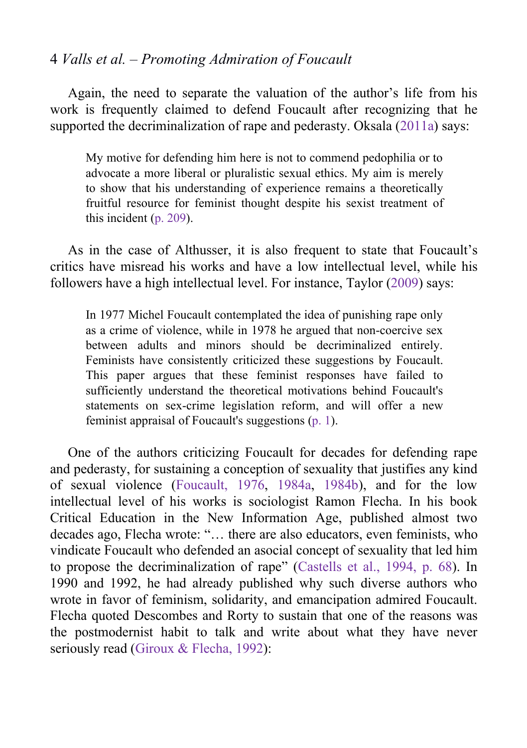Again, the need to separate the valuation of the author's life from his work is frequently claimed to defend Foucault after recognizing that he supported the decriminalization of rape and pederasty. Oksala ([2011a\)](#page-25-0) says:

My motive for defending him here is not to commend pedophilia or to advocate a more liberal or pluralistic sexual ethics. My aim is merely to show that his understanding of experience remains a theoretically fruitful resource for feminist thought despite his sexist treatment of this incident (p. [209](#page-25-0)).

As in the case of Althusser, it is also frequent to state that Foucault's critics have misread his works and have a low intellectual level, while his followers have a high intellectual level. For instance, Taylor [\(2009](#page-25-0)) says:

In 1977 Michel Foucault contemplated the idea of punishing rape only as a crime of violence, while in 1978 he argued that non-coercive sex between adults and minors should be decriminalized entirely. Feminists have consistently criticized these suggestions by Foucault. This paper argues that these feminist responses have failed to sufficiently understand the theoretical motivations behind Foucault's statements on sex-crime legislation reform, and will offer a new feminist appraisal of Foucault's suggestions ([p.](#page-25-0) 1).

One of the authors criticizing Foucault for decades for defending rape and pederasty, for sustaining a conception of sexuality that justifies any kind of sexual violence [\(Foucault,](#page-24-0) 1976, [1984a,](#page-24-0) [1984b\)](#page-24-0), and for the low intellectual level of his works is sociologist Ramon Flecha. In his book Critical Education in the New Information Age, published almost two decades ago, Flecha wrote: "… there are also educators, even feminists, who vindicate Foucault who defended an asocial concept of sexuality that led him to propose the decriminalization of rape" [\(Castells](#page-23-0) et al., 1994, p. 68). In 1990 and 1992, he had already published why such diverse authors who wrote in favor of feminism, solidarity, and emancipation admired Foucault. Flecha quoted Descombes and Rorty to sustain that one of the reasons was the postmodernist habit to talk and write about what they have never seriously read (Giroux & [Flecha,](#page-24-0) 1992):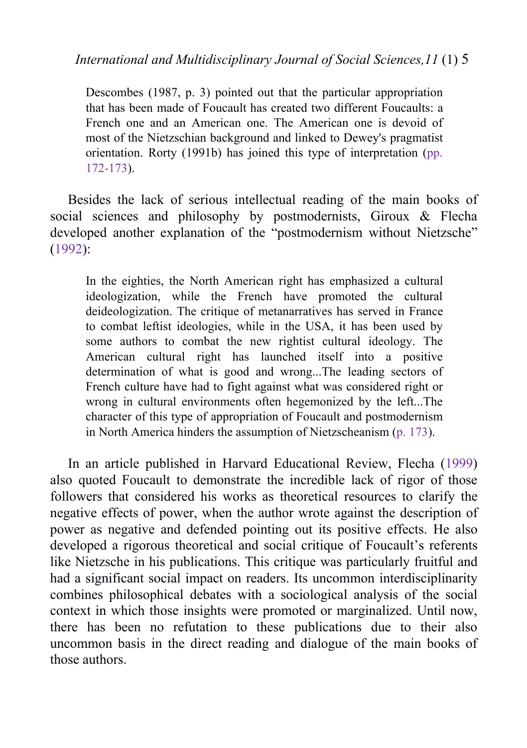Descombes (1987, p. 3) pointed out that the particular appropriation that has been made of Foucault has created two different Foucaults: a French one and an American one. The American one is devoid of most of the Nietzschian background and linked to Dewey's pragmatist orientation. Rorty (1991b) has joined this type of interpretation [\(pp.](#page-24-0) 172-173).

Besides the lack of serious intellectual reading of the main books of social sciences and philosophy by postmodernists, Giroux & Flecha developed another explanation of the "postmodernism without Nietzsche" ([1992\)](#page-24-0):

In the eighties, the North American right has emphasized a cultural ideologization, while the French have promoted the cultural deideologization. The critique of metanarratives has served in France to combat leftist ideologies, while in the USA, it has been used by some authors to combat the new rightist cultural ideology. The American cultural right has launched itself into a positive determination of what is good and wrong...The leading sectors of French culture have had to fight against what was considered right or wrong in cultural environments often hegemonized by the left...The character of this type of appropriation of Foucault and postmodernism in North America hinders the assumption of Nietzscheanism (p. [173](#page-24-0)).

In an article published in Harvard Educational Review, Flecha ([1999\)](#page-24-0) also quoted Foucault to demonstrate the incredible lack of rigor of those followers that considered his works as theoretical resources to clarify the negative effects of power, when the author wrote against the description of power as negative and defended pointing out its positive effects. He also developed a rigorous theoretical and social critique of Foucault's referents like Nietzsche in his publications. This critique was particularly fruitful and had a significant social impact on readers. Its uncommon interdisciplinarity combines philosophical debates with a sociological analysis of the social context in which those insights were promoted or marginalized. Until now, there has been no refutation to these publications due to their also uncommon basis in the direct reading and dialogue of the main books of those authors.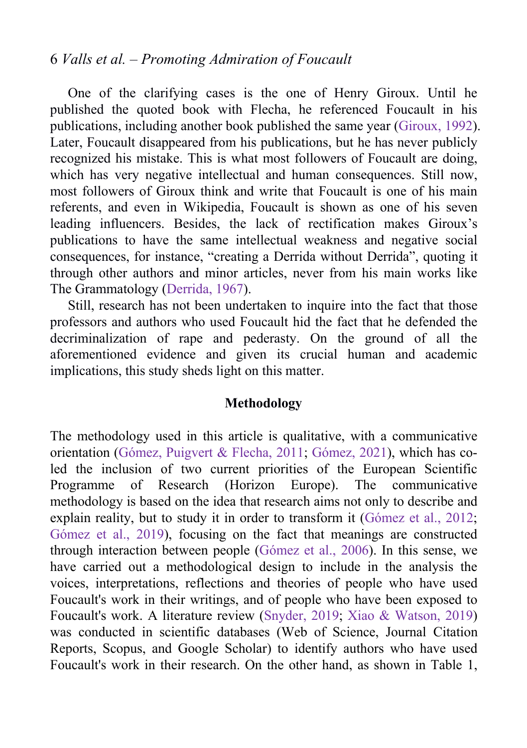One of the clarifying cases is the one of Henry Giroux. Until he published the quoted book with Flecha, he referenced Foucault in his publications, including another book published the same year ([Giroux,](#page-24-0) 1992). Later, Foucault disappeared from his publications, but he has never publicly recognized his mistake. This is what most followers of Foucault are doing, which has very negative intellectual and human consequences. Still now, most followers of Giroux think and write that Foucault is one of his main referents, and even in Wikipedia, Foucault is shown as one of his seven leading influencers. Besides, the lack of rectification makes Giroux's publications to have the same intellectual weakness and negative social consequences, for instance, "creating a Derrida without Derrida", quoting it through other authors and minor articles, never from his main works like The Grammatology ([Derrida,](#page-24-0) 1967).

Still, research has not been undertaken to inquire into the fact that those professors and authors who used Foucault hid the fact that he defended the decriminalization of rape and pederasty. On the ground of all the aforementioned evidence and given its crucial human and academic implications, this study sheds light on this matter.

#### **Methodology**

The methodology used in this article is qualitative, with a communicative orientation (Gómez, [Puigvert](#page-24-0) & Flecha, 2011; [Gómez,](#page-24-0) 2021), which has coled the inclusion of two current priorities of the European Scientific Programme of Research (Horizon Europe). The communicative methodology is based on the idea that research aims not only to describe and explain reality, but to study it in order to transform it ([Gómez](#page-25-0) et al., 2012; [Gómez](#page-24-0) et al., 2019), focusing on the fact that meanings are constructed through interaction between people ([Gómez](#page-24-0) et al., 2006). In this sense, we have carried out a methodological design to include in the analysis the voices, interpretations, reflections and theories of people who have used Foucault's work in their writings, and of people who have been exposed to Foucault's work.A literature review [\(Snyder,](#page-25-0) 2019; Xiao & [Watson,2019\)](#page-25-0) was conducted in scientific databases (Web of Science, Journal Citation Reports, Scopus, and Google Scholar) to identify authors who have used Foucault's work in their research. On the other hand, as shown in Table 1,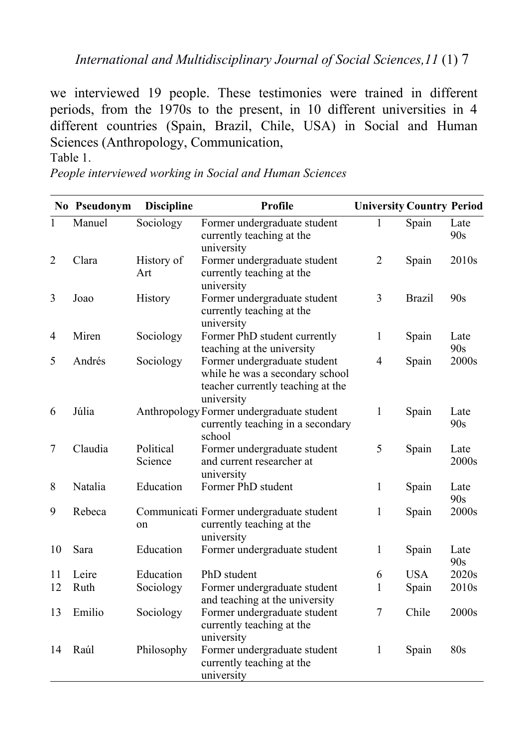we interviewed 19 people. These testimonies were trained in different periods, from the 1970s to the present, in 10 different universities in 4 different countries (Spain, Brazil, Chile, USA) in Social and Human Sciences (Anthropology, Communication,

Table 1.

*People interviewed working in Social and Human Sciences*

|              | No Pseudonym | <b>Discipline</b>    | Profile                                                                                                            | <b>University Country Period</b> |               |                   |
|--------------|--------------|----------------------|--------------------------------------------------------------------------------------------------------------------|----------------------------------|---------------|-------------------|
| $\mathbf{1}$ | Manuel       | Sociology            | Former undergraduate student<br>currently teaching at the<br>university                                            | 1                                | Spain         | Late<br>90s       |
| 2            | Clara        | History of<br>Art    | Former undergraduate student<br>currently teaching at the<br>university                                            | $\overline{2}$                   | Spain         | 2010 <sub>s</sub> |
| 3            | Joao         | History              | Former undergraduate student<br>currently teaching at the<br>university                                            | 3                                | <b>Brazil</b> | 90s               |
| 4            | Miren        | Sociology            | Former PhD student currently<br>teaching at the university                                                         | 1                                | Spain         | Late<br>90s       |
| 5            | Andrés       | Sociology            | Former undergraduate student<br>while he was a secondary school<br>teacher currently teaching at the<br>university | 4                                | Spain         | 2000s             |
| 6            | Júlia        |                      | Anthropology Former undergraduate student<br>currently teaching in a secondary<br>school                           | 1                                | Spain         | Late<br>90s       |
| 7            | Claudia      | Political<br>Science | Former undergraduate student<br>and current researcher at<br>university                                            | 5                                | Spain         | Late<br>2000s     |
| 8            | Natalia      | Education            | Former PhD student                                                                                                 | 1                                | Spain         | Late<br>90s       |
| 9            | Rebeca       | on                   | Communicati Former undergraduate student<br>currently teaching at the<br>university                                | 1                                | Spain         | 2000s             |
| 10           | Sara         | Education            | Former undergraduate student                                                                                       | 1                                | Spain         | Late<br>90s       |
| 11           | Leire        | Education            | PhD student                                                                                                        | 6                                | <b>USA</b>    | 2020s             |
| 12           | Ruth         | Sociology            | Former undergraduate student<br>and teaching at the university                                                     | 1                                | Spain         | 2010s             |
| 13           | Emilio       | Sociology            | Former undergraduate student<br>currently teaching at the<br>university                                            | 7                                | Chile         | 2000s             |
| 14           | Raúl         | Philosophy           | Former undergraduate student<br>currently teaching at the<br>university                                            | 1                                | Spain         | 80s               |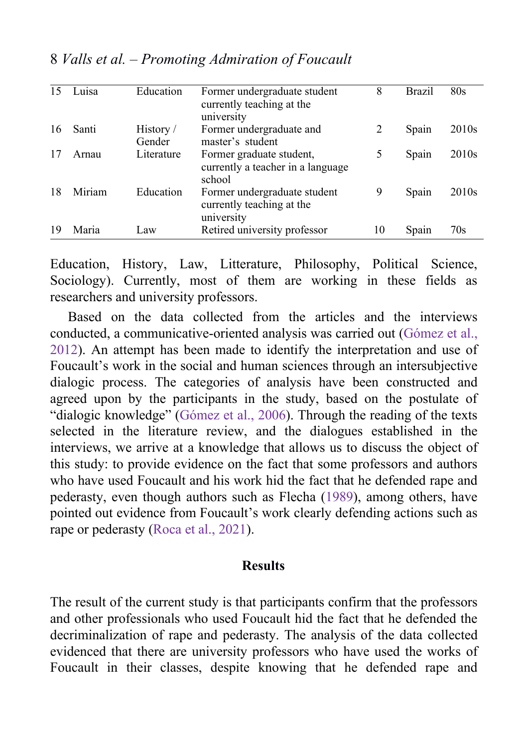| 15 | Luisa  | Education           | Former undergraduate student<br>currently teaching at the<br>university | 8  | Brazil | 80s               |
|----|--------|---------------------|-------------------------------------------------------------------------|----|--------|-------------------|
| 16 | Santi  | History /<br>Gender | Former undergraduate and<br>master's student                            | 2  | Spain  | 2010 <sub>s</sub> |
| 17 | Arnau  | Literature          | Former graduate student,<br>currently a teacher in a language<br>school | 5  | Spain  | 2010 <sub>s</sub> |
| 18 | Miriam | Education           | Former undergraduate student<br>currently teaching at the<br>university | 9  | Spain  | 2010 <sub>s</sub> |
| 19 | Maria  | Law                 | Retired university professor                                            | 10 | Spain  | 70s               |

8 *Valls et al. – Promoting Admiration of Foucault*

Education, History, Law, Litterature, Philosophy, Political Science, Sociology). Currently, most of them are working in these fields as researchers and university professors.

Based on the data collected from the articles and the interviews conducted, a communicative-oriented analysis was carried out ([Gómez](#page-25-0) et al., 2012). An attempt has been made to identify the interpretation and use of Foucault's work in the social and human sciences through an intersubjective dialogic process. The categories of analysis have been constructed and agreed upon by the participants in the study, based on the postulate of "dialogic knowledge" [\(Gómez](#page-24-0) et al., 2006). Through the reading of the texts selected in the literature review, and the dialogues established in the interviews, we arrive at a knowledge that allows us to discuss the object of this study: to provide evidence on the fact that some professors and authors who have used Foucault and his work hid the fact that he defended rape and pederasty, even though authors such as Flecha [\(1989](#page-24-0)), among others, have pointed out evidence from Foucault's work clearly defending actions such as rape or pederasty [\(Roca](#page-25-0) et al., 2021).

#### **Results**

The result of the current study is that participants confirm that the professors and other professionals who used Foucault hid the fact that he defended the decriminalization of rape and pederasty. The analysis of the data collected evidenced that there are university professors who have used the works of Foucault in their classes, despite knowing that he defended rape and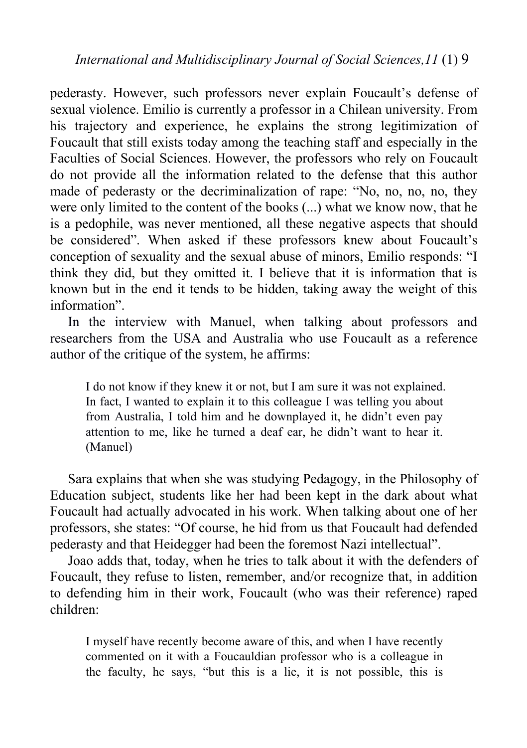pederasty. However, such professors never explain Foucault's defense of sexual violence. Emilio is currently a professor in a Chilean university. From his trajectory and experience, he explains the strong legitimization of Foucault that still exists today among the teaching staff and especially in the Faculties of Social Sciences. However, the professors who rely on Foucault do not provide all the information related to the defense that this author made of pederasty or the decriminalization of rape: "No, no, no, no, they were only limited to the content of the books (...) what we know now, that he is a pedophile, was never mentioned, all these negative aspects that should be considered". When asked if these professors knew about Foucault's conception of sexuality and the sexual abuse of minors, Emilio responds: "I think they did, but they omitted it. I believe that it is information that is known but in the end it tends to be hidden, taking away the weight of this information".

In the interview with Manuel, when talking about professors and researchers from the USA and Australia who use Foucault as a reference author of the critique of the system, he affirms:

I do not know if they knew it or not, but I am sure it was not explained. In fact, I wanted to explain it to this colleague I was telling you about from Australia, I told him and he downplayed it, he didn't even pay attention to me, like he turned a deaf ear, he didn't want to hear it. (Manuel)

Sara explains that when she was studying Pedagogy, in the Philosophy of Education subject, students like her had been kept in the dark about what Foucault had actually advocated in his work.When talking about one of her professors, she states: "Of course, he hid from us that Foucault had defended pederasty and that Heidegger had been the foremost Nazi intellectual".

Joao adds that, today, when he tries to talk about it with the defenders of Foucault, they refuse to listen, remember, and/or recognize that, in addition to defending him in their work, Foucault (who was their reference) raped children:

I myself have recently become aware of this, and when I have recently commented on it with a Foucauldian professor who is a colleague in the faculty, he says, "but this is a lie, it is not possible, this is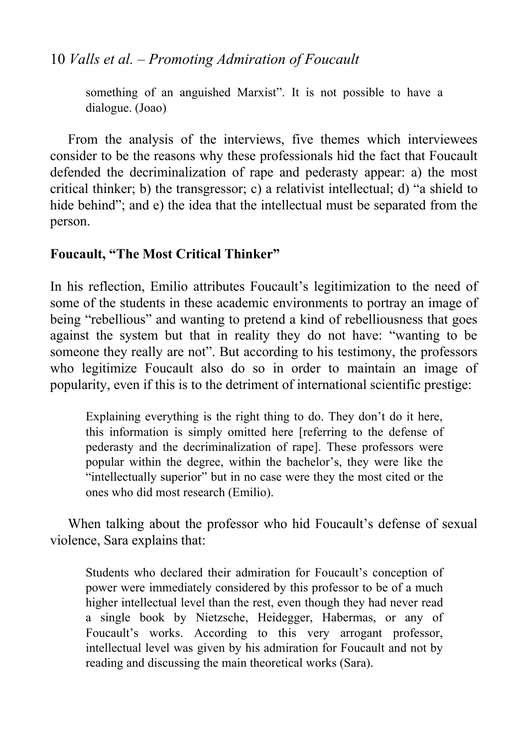something of an anguished Marxist". It is not possible to have a dialogue. (Joao)

From the analysis of the interviews, five themes which interviewees consider to be the reasons why these professionals hid the fact that Foucault defended the decriminalization of rape and pederasty appear: a) the most critical thinker; b) the transgressor; c) a relativist intellectual; d) "a shield to hide behind"; and e) the idea that the intellectual must be separated from the person.

### **Foucault, "The Most Critical Thinker"**

In his reflection, Emilio attributes Foucault's legitimization to the need of some of the students in these academic environments to portray an image of being "rebellious" and wanting to pretend a kind of rebelliousness that goes against the system but that in reality they do not have: "wanting to be someone they really are not". But according to his testimony, the professors who legitimize Foucault also do so in order to maintain an image of popularity, even if this is to the detriment of international scientific prestige:

Explaining everything is the right thing to do. They don't do it here, this information is simply omitted here [referring to the defense of pederasty and the decriminalization of rape]. These professors were popular within the degree, within the bachelor's, they were like the "intellectually superior" but in no case were they the most cited or the ones who did most research (Emilio).

When talking about the professor who hid Foucault's defense of sexual violence, Sara explains that:

Students who declared their admiration for Foucault's conception of power were immediately considered by this professor to be of a much higher intellectual level than the rest, even though they had never read a single book by Nietzsche, Heidegger, Habermas, or any of Foucault's works. According to this very arrogant professor, intellectual level was given by his admiration for Foucault and not by reading and discussing the main theoretical works (Sara).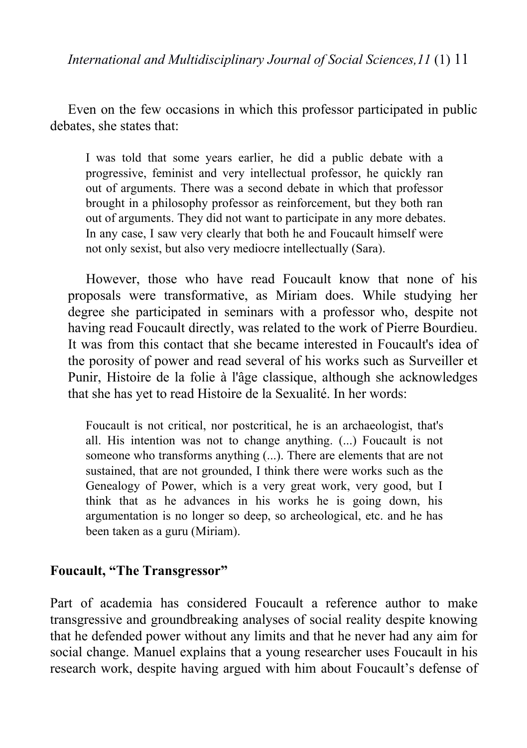Even on the few occasions in which this professor participated in public debates, she states that:

I was told that some years earlier, he did a public debate with a progressive, feminist and very intellectual professor, he quickly ran out of arguments. There was a second debate in which that professor brought in a philosophy professor as reinforcement, but they both ran out of arguments. They did not want to participate in any more debates. In any case, I saw very clearly that both he and Foucault himself were not only sexist, but also very mediocre intellectually (Sara).

However, those who have read Foucault know that none of his proposals were transformative, as Miriam does. While studying her degree she participated in seminars with a professor who, despite not having read Foucault directly, was related to the work of Pierre Bourdieu. It was from this contact that she became interested in Foucault's idea of the porosity of power and read several of his works such as Surveiller et Punir, Histoire de la folie à l'âge classique, although she acknowledges that she has yet to read Histoire de la Sexualité. In her words:

Foucault is not critical, nor postcritical, he is an archaeologist, that's all. His intention was not to change anything. (...) Foucault is not someone who transforms anything (...). There are elements that are not sustained, that are not grounded, I think there were works such as the Genealogy of Power, which is a very great work, very good, but I think that as he advances in his works he is going down, his argumentation is no longer so deep, so archeological, etc. and he has been taken as a guru (Miriam).

#### **Foucault, "The Transgressor"**

Part of academia has considered Foucault a reference author to make transgressive and groundbreaking analyses of social reality despite knowing that he defended power without any limits and that he never had any aim for social change. Manuel explains that a young researcher uses Foucault in his research work, despite having argued with him about Foucault's defense of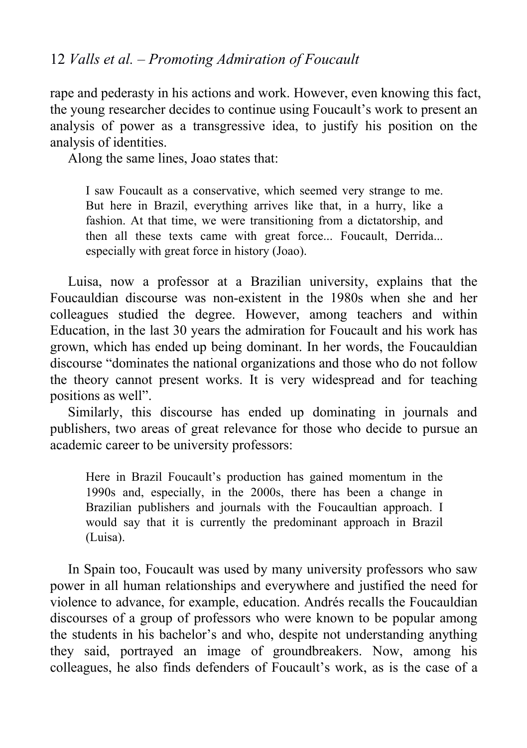rape and pederasty in his actions and work. However, even knowing this fact, the young researcher decides to continue using Foucault's work to present an analysis of power as a transgressive idea, to justify his position on the analysis of identities.

Along the same lines, Joao states that:

I saw Foucault as a conservative, which seemed very strange to me. But here in Brazil, everything arrives like that, in a hurry, like a fashion. At that time, we were transitioning from a dictatorship, and then all these texts came with great force... Foucault, Derrida... especially with great force in history (Joao).

Luisa, now a professor at a Brazilian university, explains that the Foucauldian discourse was non-existent in the 1980s when she and her colleagues studied the degree. However, among teachers and within Education, in the last 30 years the admiration for Foucault and his work has grown, which has ended up being dominant. In her words, the Foucauldian discourse "dominates the national organizations and those who do not follow the theory cannot present works. It is very widespread and for teaching positions as well".<br>Similarly, this discourse has ended up dominating in journals and

publishers, two areas of great relevance for those who decide to pursue an academic career to be university professors:

Here in Brazil Foucault's production has gained momentum in the 1990s and, especially, in the 2000s, there has been a change in Brazilian publishers and journals with the Foucaultian approach. I would say that it is currently the predominant approach in Brazil (Luisa).

In Spain too, Foucault was used by many university professors who saw power in all human relationships and everywhere and justified the need for violence to advance, for example, education. Andrés recalls the Foucauldian discourses of a group of professors who were known to be popular among the students in his bachelor's and who, despite not understanding anything they said, portrayed an image of groundbreakers. Now, among his colleagues, he also finds defenders of Foucault's work, as is the case of a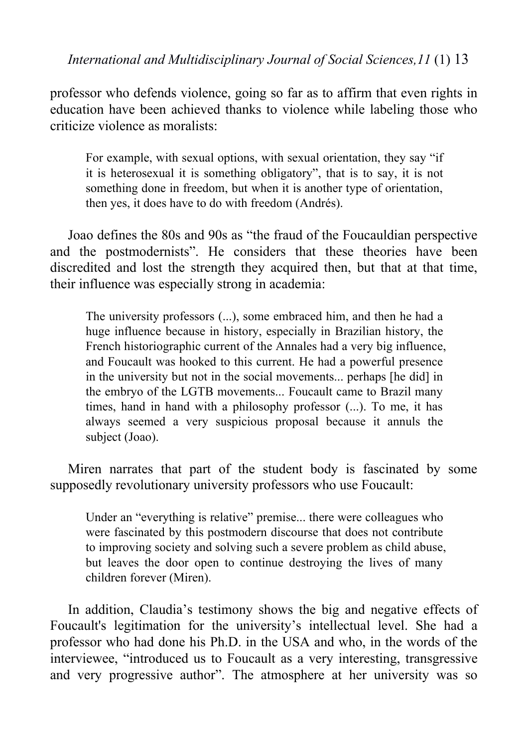professor who defends violence, going so far as to affirm that even rights in education have been achieved thanks to violence while labeling those who criticize violence as moralists:

For example, with sexual options, with sexual orientation, they say "if it is heterosexual it is something obligatory", that is to say, it is not something done in freedom, but when it is another type of orientation, then yes, it does have to do with freedom (Andrés).

Joao defines the 80s and 90s as "the fraud of the Foucauldian perspective and the postmodernists". He considers that these theories have been discredited and lost the strength they acquired then, but that at that time, their influence was especially strong in academia:

The university professors (...), some embraced him, and then he had a huge influence because in history, especially in Brazilian history, the French historiographic current of the Annales had a very big influence, and Foucault was hooked to this current. He had a powerful presence in the university but not in the social movements... perhaps [he did] in the embryo of the LGTB movements... Foucault came to Brazil many times, hand in hand with a philosophy professor (...). To me, it has always seemed avery suspicious proposal because it annuls the subject (Joao).

Miren narrates that part of the student body is fascinated by some supposedly revolutionary university professors who use Foucault:

Under an "everything is relative" premise... there were colleagues who were fascinated by this postmodern discourse that does not contribute to improving society and solving such a severe problem as child abuse, but leaves the door open to continue destroying the lives of many children forever (Miren).

In addition, Claudia's testimony shows the big and negative effects of Foucault's legitimation for the university's intellectual level. She had a professor who had done his Ph.D. in the USA and who, in the words of the interviewee, "introduced us to Foucault as a very interesting, transgressive and very progressive author". The atmosphere at her university was so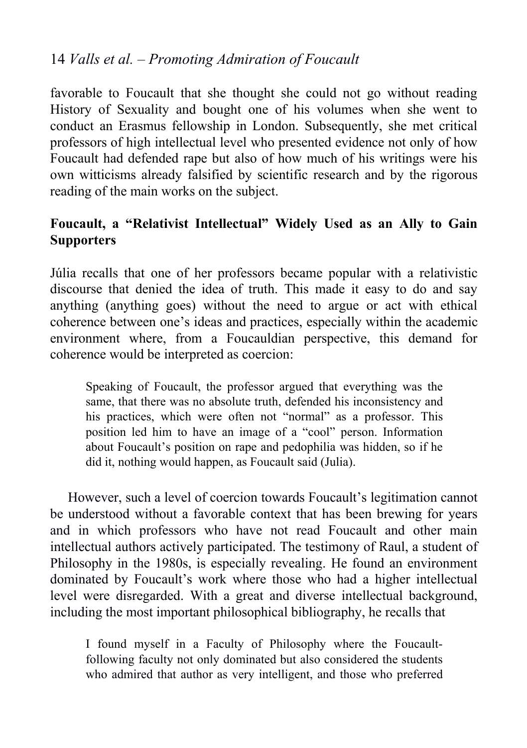favorable to Foucault that she thought she could not go without reading History of Sexuality and bought one of his volumes when she went to conduct an Erasmus fellowship in London. Subsequently, she met critical professors of high intellectual level who presented evidence not only of how Foucault had defended rape but also of how much of his writings were his own witticisms already falsified by scientific research and by the rigorous reading of the main works on the subject.

# **Foucault, a "Relativist Intellectual" Widely Used as an Ally to Gain Supporters**

Júlia recalls that one of her professors became popular with a relativistic discourse that denied the idea of truth. This made it easy to do and say anything (anything goes) without the need to argue or act with ethical coherence between one's ideas and practices, especially within the academic environment where, from a Foucauldian perspective, this demand for coherence would be interpreted as coercion:

Speaking of Foucault, the professor argued that everything was the same, that there was no absolute truth, defended his inconsistency and his practices, which were often not "normal" as a professor. This position led him to have an image of a "cool" person. Information about Foucault's position on rape and pedophilia was hidden, so if he did it, nothing would happen, as Foucault said (Julia).

However, such a level of coercion towards Foucault's legitimation cannot be understood without a favorable context that has been brewing for years and in which professors who have not read Foucault and other main intellectual authors actively participated. The testimony of Raul, a student of Philosophy in the 1980s, is especially revealing. He found an environment dominated by Foucault's work where those who had a higher intellectual level were disregarded. With a great and diverse intellectual background, including the most important philosophical bibliography, he recalls that

I found myself in a Faculty of Philosophy where the Foucaultfollowing faculty not only dominated but also considered the students who admired that author as very intelligent, and those who preferred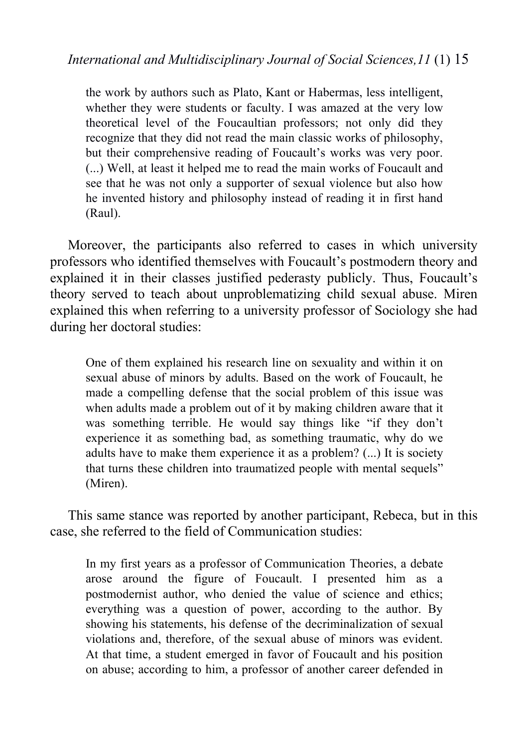the work by authors such as Plato, Kant or Habermas, less intelligent, whether they were students or faculty. I was amazed at the very low theoretical level of the Foucaultian professors; not only did they recognize that they did not read the main classic works of philosophy, but their comprehensive reading of Foucault's works was very poor. (...) Well, at least it helped me to read the main works of Foucault and see that he was not only a supporter of sexual violence but also how he invented history and philosophy instead of reading it in first hand (Raul).

Moreover, the participants also referred to cases in which university professors who identified themselves with Foucault's postmodern theory and explained it in their classes justified pederasty publicly. Thus, Foucault's theory served to teach about unproblematizing child sexual abuse. Miren explained this when referring to a university professor of Sociology she had during her doctoral studies:

One of them explained his research line on sexuality and within it on sexual abuse of minors by adults. Based on the work of Foucault, he made a compelling defense that the social problem of this issue was when adults made a problem out of it by making children aware that it was something terrible. He would say things like "if they don't experience it as something bad, as something traumatic, why do we adults have to make them experience it as a problem? (...) It is society that turns these children into traumatized people with mental sequels" (Miren).

This same stance was reported by another participant, Rebeca, but in this case, she referred to the field of Communication studies:

In my first years as a professor of Communication Theories, a debate arose around the figure of Foucault. I presented him as a postmodernist author, who denied the value of science and ethics; everything was a question of power, according to the author. By showing his statements, his defense of the decriminalization of sexual violations and, therefore, of the sexual abuse of minors was evident. At that time, a student emerged in favor of Foucault and his position on abuse; according to him, a professor of another career defended in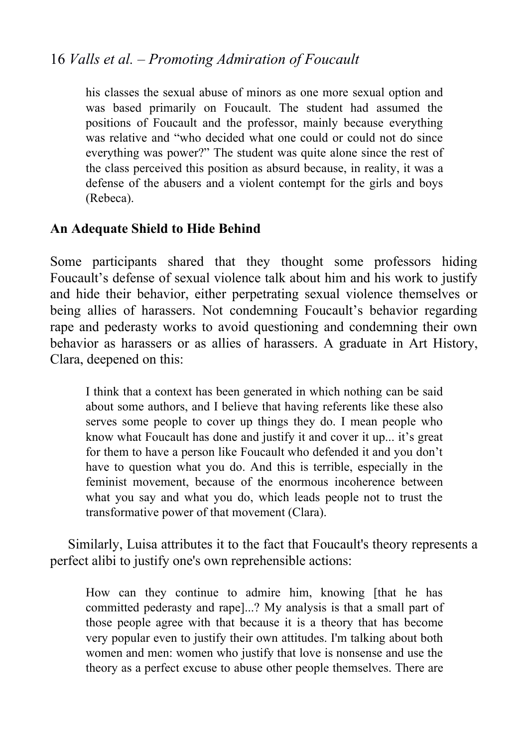his classes the sexual abuse of minors as one more sexual option and was based primarily on Foucault. The student had assumed the positions of Foucault and the professor, mainly because everything was relative and "who decided what one could or could not do since everything was power?" The student was quite alone since the rest of the class perceived this position as absurd because, in reality, it was a defense of the abusers and a violent contempt for the girls and boys (Rebeca).

#### **An Adequate Shield to Hide Behind**

Some participants shared that they thought some professors hiding Foucault's defense of sexual violence talk about him and his work to justify and hide their behavior, either perpetrating sexual violence themselves or being allies of harassers. Not condemning Foucault's behavior regarding rape and pederasty works to avoid questioning and condemning their own behavior as harassers or as allies of harassers. A graduate in Art History, Clara, deepened on this:

I think that a context has been generated in which nothing can be said about some authors, and I believe that having referents like these also serves some people to cover up things they do. I mean people who know what Foucault has done and justify it and cover it up... it's great for them to have a person like Foucault who defended it and you don't have to question what you do. And this is terrible, especially in the feminist movement, because of the enormous incoherence between what you say and what you do, which leads people not to trust the transformative power of that movement (Clara).

Similarly, Luisa attributes it to the fact that Foucault's theory represents a perfect alibi to justify one's own reprehensible actions:

How can they continue to admire him, knowing [that he has committed pederasty and rape]...? My analysis is that a small part of those people agree with that because it is a theory that has become very popular even to justify their own attitudes. I'm talking about both women and men: women who justify that love is nonsense and use the theory as a perfect excuse to abuse other people themselves. There are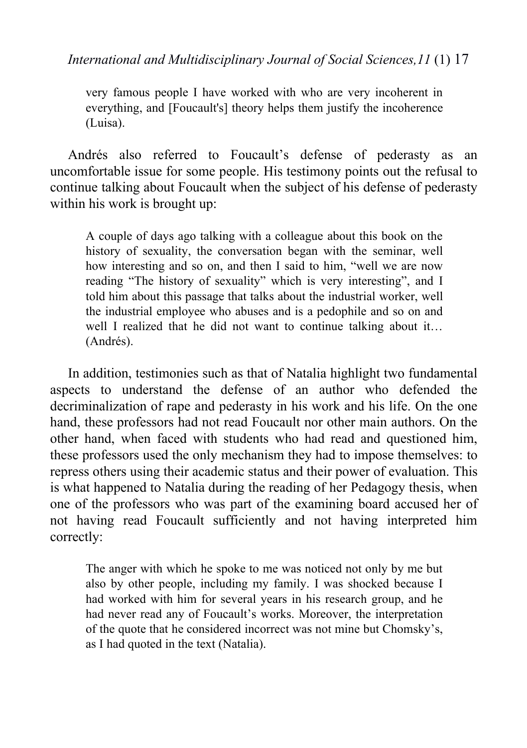very famous people I have worked with who are very incoherent in everything, and [Foucault's] theory helps them justify the incoherence (Luisa).

Andrés also referred to Foucault's defense of pederasty as an uncomfortable issue for some people. His testimony points out the refusal to continue talking about Foucault when the subject of his defense of pederasty within his work is brought up:

A couple of daysago talking with a colleague about this book on the history of sexuality, the conversation began with the seminar, well how interesting and so on, and then I said to him, "well we are now reading "The history of sexuality" which is very interesting", and I told him about this passage that talks about the industrial worker, well the industrial employee who abuses and is a pedophile and so on and well I realized that he did not want to continue talking about it… (Andrés).

In addition, testimonies such as that of Natalia highlight two fundamental aspects to understand the defense of an author who defended the decriminalization of rape and pederasty in his work and his life. On the one hand, these professors had not read Foucault nor other main authors. On the other hand, when faced with students who had read and questioned him, these professors used the only mechanism they had to impose themselves: to repress others using their academic status and their power of evaluation. This is what happened to Natalia during the reading of her Pedagogy thesis, when one of the professors who was part of the examining board accused her of not having read Foucault sufficiently and not having interpreted him correctly:

The anger with which he spoke to me was noticed not only by me but also by other people, including my family. I was shocked because I had worked with him for several years in his research group, and he had never read any of Foucault's works. Moreover, the interpretation of the quote that he considered incorrect was not mine but Chomsky's, as I had quoted in the text(Natalia).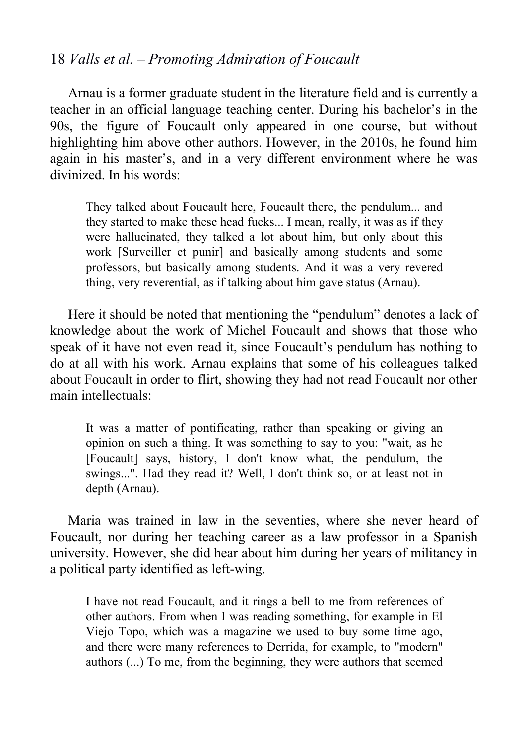Arnau is a former graduate student in the literature field and is currently a teacher in an official language teaching center. During his bachelor's in the 90s, the figure of Foucault only appeared in one course, but without highlighting him above other authors. However, in the 2010s, he found him again in his master's, and in a very different environment where he was divinized. In his words:

They talked about Foucault here, Foucault there, the pendulum... and they started to make these head fucks... I mean, really, it was as if they were hallucinated, they talked a lot about him, but only about this work [Surveiller et punir] and basically among students and some professors, but basically among students. And it was a very revered thing, very reverential, as if talking about him gave status (Arnau).

Here it should be noted that mentioning the "pendulum" denotes a lack of knowledge about the work of Michel Foucault and shows that those who speak of it have not even read it, since Foucault's pendulum has nothing to do at all with his work. Arnau explains that some of his colleagues talked about Foucault in order to flirt, showing they had not read Foucault nor other main intellectuals:

It was a matter of pontificating, rather than speaking or giving an opinion on such a thing. It was something to say to you: "wait, as he [Foucault] says, history, I don't know what, the pendulum, the swings...". Had they read it? Well, I don't think so, or at least not in depth (Arnau).

Maria was trained in law in the seventies, where she never heard of Foucault, nor during her teaching career as a law professor in a Spanish university. However, she did hear about him during her years of militancy in a political party identified as left-wing.

I have not read Foucault, and it rings a bell to me from references of other authors. From when I was reading something, for example in El Viejo Topo, which was a magazine we used to buy some time ago, and there were many references to Derrida, for example, to "modern" authors (...) To me, from the beginning, they were authors that seemed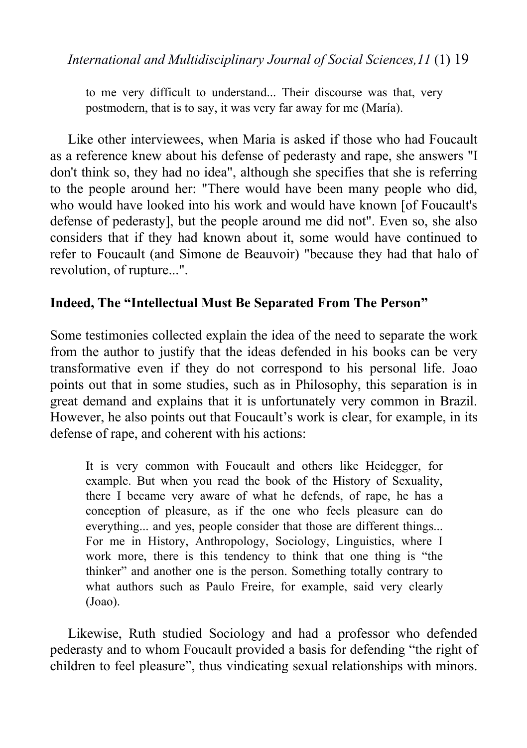to me very difficult to understand... Their discourse was that, very postmodern, that is to say, it was very far away for me (María).

Like other interviewees, when Maria is asked if those who had Foucault as a reference knew about his defense of pederasty and rape, she answers "I don't think so, they had no idea", although she specifies that she is referring to the people around her: "There would have been many people who did, who would have looked into his work and would have known [of Foucault's defense of pederasty], but the people around me did not". Even so, she also considers that if they had known about it, some would have continued to refer to Foucault (and Simone de Beauvoir) "because they had that halo of revolution, of rupture...".

#### **Indeed, The "Intellectual Must Be Separated From The Person"**

Some testimonies collected explain the idea of the need to separate the work from the author to justify that the ideas defended in his books can be very transformative even if they do not correspond to his personal life. Joao points out that in some studies, such as in Philosophy, this separation is in great demand and explains that it is unfortunately very common in Brazil. However, he also points out that Foucault's work is clear, for example, in its defense of rape, and coherent with his actions:

It is very common with Foucault and others like Heidegger, for example. But when you read the book of the History of Sexuality, there I became very aware of what he defends, of rape, he has a conception of pleasure, as if the one who feels pleasure can do everything... and yes, people consider that those are different things... For me in History, Anthropology, Sociology, Linguistics, where I work more, there is this tendency to think that one thing is "the thinker" and another one is the person. Something totally contrary to what authors such as Paulo Freire, for example, said very clearly (Joao).

Likewise, Ruth studied Sociology and had a professor who defended pederasty and to whom Foucault provided a basis for defending "the right of children to feel pleasure", thus vindicating sexual relationships with minors.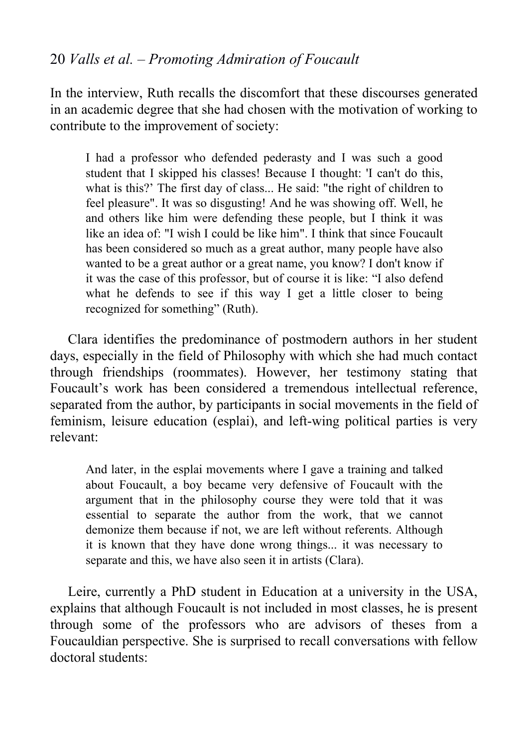In the interview, Ruth recalls the discomfort that these discourses generated in an academic degree that she had chosen with the motivation of working to contribute to the improvement of society:

I had a professor who defended pederasty and I was such a good student that I skipped his classes! Because I thought: 'I can't do this, what is this?' The first day of class... He said: "the right of children to feel pleasure". It was so disgusting! And he was showing off. Well, he and others like him were defending these people, but I think it was like an idea of: "I wish I could be like him". I think that since Foucault has been considered so much as a great author, many people have also wanted to be a great author or a great name, you know? I don't know if it was the case of this professor, but of course it is like:"I also defend what he defends to see if this way I get a little closer to being recognized for something" (Ruth).

Clara identifies the predominance of postmodern authors in her student days, especially in the field of Philosophy with which she had much contact through friendships (roommates). However, her testimony stating that Foucault's work has been considered a tremendous intellectual reference, separated from the author, by participants in social movements in the field of feminism, leisure education (esplai), and left-wing political parties is very relevant:

And later, in the esplai movements where I gave a training and talked about Foucault, a boy became very defensive of Foucault with the argument that in the philosophy course they were told that it was essential to separate the author from the work, that we cannot demonize them because if not, we are left without referents. Although it is known that they have done wrong things... it was necessary to separate and this, we have also seen it in artists (Clara).

Leire, currently a PhD student in Education at a university in the USA, explains that although Foucault is not included in most classes, he is present through some of the professors who are advisors of theses from a Foucauldian perspective. She is surprised to recall conversations with fellow doctoral students: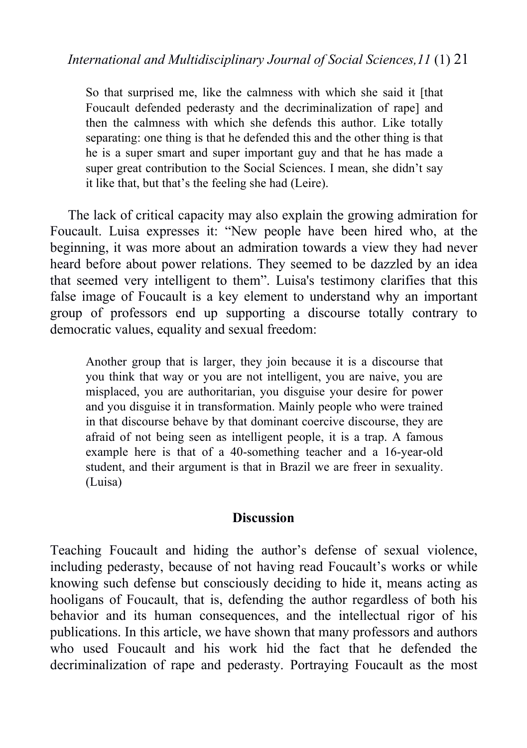So that surprised me, like the calmness with which she said it [that Foucault defended pederasty and the decriminalization of rape] and then the calmness with which she defends this author. Like totally separating: one thing is that he defended this and the other thing is that he is a super smart and super important guy and that he has made a super great contribution to the Social Sciences. I mean, she didn't say it like that, but that's the feeling she had (Leire).

The lack of critical capacity may also explain the growing admiration for Foucault. Luisa expresses it: "New people have been hired who, at the beginning, it was more about an admiration towards a view they had never heard before about power relations. They seemed to be dazzled by an idea that seemed very intelligent to them". Luisa's testimony clarifies that this false image of Foucault is a key element to understand why an important group of professors end up supporting adiscourse totally contrary to democratic values, equality and sexual freedom:

Another group that is larger, they join because it is a discourse that you think that way or you are not intelligent, you are naive, you are misplaced, you are authoritarian, you disguise your desire for power and you disguise it in transformation. Mainly people who were trained in that discourse behave by that dominant coercive discourse, they are afraid of not being seen as intelligent people, it is a trap. A famous example here is that of a 40-something teacher and a 16-year-old student, and their argument is that in Brazil we are freer in sexuality. (Luisa)

#### **Discussion**

Teaching Foucault and hiding the author's defense of sexual violence, including pederasty, because of not having read Foucault's works or while knowing such defense but consciously deciding to hide it, means acting as hooligans of Foucault, that is, defending the author regardless of both his behavior and its human consequences, and the intellectual rigor of his publications. In this article, we have shown that many professors and authors who used Foucault and his work hid the fact that he defended the decriminalization of rape and pederasty. Portraying Foucault as the most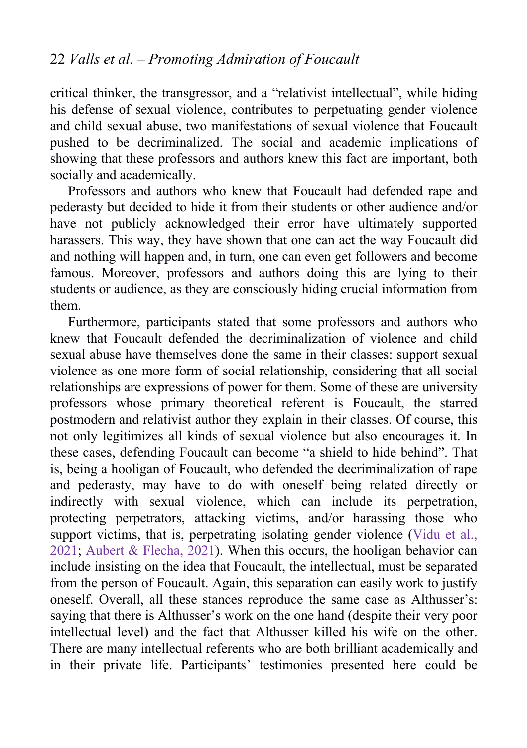critical thinker, the transgressor, and a "relativist intellectual", while hiding his defense of sexual violence, contributes to perpetuating gender violence and child sexual abuse, two manifestations of sexual violence that Foucault pushed to be decriminalized. The social and academic implications of showing that these professors and authors knew this fact are important, both socially and academically.

Professors and authors who knew that Foucault had defended rape and pederasty but decided to hide it from their students or other audience and/or have not publicly acknowledged their error have ultimately supported harassers. This way, they have shown that one can act the way Foucault did and nothing will happen and, in turn, one can even get followers and become famous. Moreover, professors and authors doing this are lying to their students or audience, as they are consciously hiding crucial information from them.

Furthermore, participants stated that some professors and authors who knew that Foucault defended the decriminalization of violence and child sexual abuse have themselves done the same in their classes: support sexual violence as one more form of social relationship, considering that all social relationships are expressions of power for them. Some of these are university professors whose primary theoretical referent is Foucault, the starred postmodern and relativist author they explain in their classes. Of course, this not only legitimizes all kinds of sexual violence but also encourages it. In these cases, defending Foucault can become "a shield to hide behind".That is, being a hooligan of Foucault, who defended the decriminalization of rape and pederasty, may have to do with oneself being related directly or indirectly with sexual violence, which can include its perpetration, protecting perpetrators, attacking victims, and/or harassing those who support victims, that is, perpetrating isolating gender violence ([Vidu](#page-25-0) et al., 2021; Aubert & [Flecha,](#page-23-0) 2021). When this occurs, the hooligan behavior can include insisting on the idea that Foucault, the intellectual, must be separated from the person of Foucault. Again, this separation can easily work to justify oneself. Overall, all these stances reproduce the same case as Althusser's: saying that there is Althusser's work on the one hand (despite their very poor intellectual level) and the fact that Althusser killed his wife on the other. There are many intellectual referents who are both brilliant academically and in their private life. Participants' testimonies presented here could be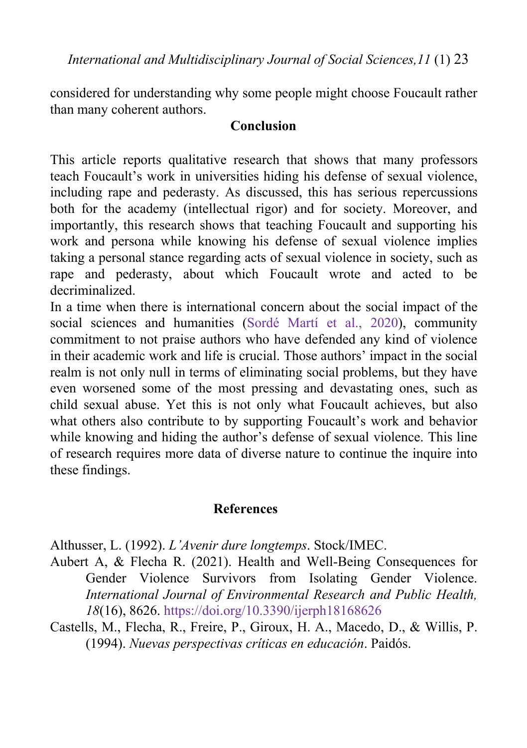<span id="page-23-0"></span>considered for understanding why some people might choose Foucault rather than many coherent authors.

#### **Conclusion**

This article reports qualitative research that shows that many professors teach Foucault's work in universities hiding his defense of sexual violence, including rape and pederasty. As discussed, this has serious repercussions both for the academy (intellectual rigor) and for society. Moreover, and importantly, this research shows that teaching Foucault and supporting his work and persona while knowing his defense of sexual violence implies taking a personal stance regarding acts of sexual violence in society, such as rape and pederasty, about which Foucault wrote and acted to be decriminalized.

In a time when there is international concern about the social impact of the social sciences and humanities ([Sordé](#page-25-0) Martí et al., 2020), community commitment to not praise authors who have defended any kind of violence in their academic work and life is crucial. Those authors' impact in the social realm is not only null in terms of eliminating social problems, but they have even worsened some of the most pressing and devastating ones, such as child sexual abuse. Yet this is not only what Foucault achieves, but also what others also contribute to by supporting Foucault's work and behavior while knowing and hiding the author's defense of sexual violence. This line of research requires more data of diverse nature to continue the inquire into these findings.

#### **References**

Althusser, L. (1992). *L'Avenir dure longtemps*. Stock/IMEC.

- Aubert A, & Flecha R. (2021). Health and Well-Being Consequences for Gender Violence Survivors from Isolating Gender Violence. *International Journal of Environmental Research and Public Health, 18*(16), 8626. <https://doi.org/10.3390/ijerph18168626>
- Castells, M., Flecha, R., Freire, P., Giroux, H. A., Macedo, D., & Willis, P. (1994). *Nuevas perspectivas críticas en educación*. Paidós.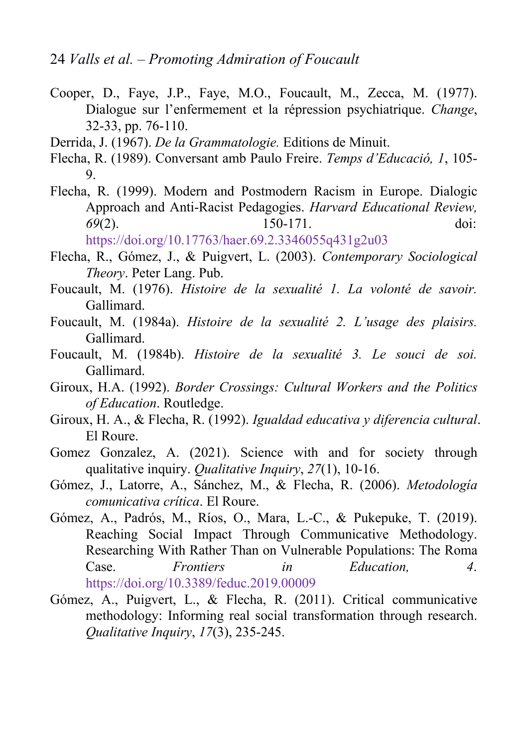- <span id="page-24-0"></span>Cooper, D., Faye, J.P., Faye, M.O., Foucault, M., Zecca, M. (1977). Dialogue sur l'enfermement et la répression psychiatrique. *Change*, 32-33, pp. 76-110.
- Derrida, J. (1967). *De la Grammatologie.* Editions de Minuit.
- Flecha, R. (1989). Conversant amb Paulo Freire. *Temps d'Educació, 1*, 105- 9.
- Flecha, R. (1999). Modern and Postmodern Racism in Europe. Dialogic Approach and Anti-Racist Pedagogies. *Harvard Educational Review, 69*(2). 150-171. doi: <https://doi.org/10.17763/haer.69.2.3346055q431g2u03>
- Flecha, R., Gómez, J., & Puigvert, L. (2003). *Contemporary Sociological Theory*. Peter Lang. Pub.
- Foucault, M. (1976). *Histoire de la sexualité 1. La volonté de savoir.* Gallimard.
- Foucault, M. (1984a). *Histoire de la sexualité 2. L'usage des plaisirs.* Gallimard.
- Foucault, M. (1984b). *Histoire de la sexualité 3. Le souci de soi.* Gallimard.
- Giroux, H.A. (1992). *Border Crossings: Cultural Workers and the Politics of Education*. Routledge.
- Giroux, H. A., & Flecha, R. (1992). *Igualdad educativa y diferencia cultural*. El Roure.
- Gomez Gonzalez, A. (2021). Science with and for society through qualitative inquiry. *Qualitative Inquiry*, *27*(1), 10-16.
- Gómez, J., Latorre, A., Sánchez, M., & Flecha, R. (2006). *Metodología comunicativa crítica*. El Roure.
- Gómez, A., Padrós, M., Ríos, O., Mara, L.-C., & Pukepuke, T. (2019). Reaching Social Impact Through Communicative Methodology. Researching With Rather Than on Vulnerable Populations: The Roma Case. *Frontiers in Education, 4*. <https://doi.org/10.3389/feduc.2019.00009>
- Gómez, A., Puigvert, L., & Flecha, R. (2011). Critical communicative methodology: Informing real social transformation through research. *Qualitative Inquiry*, *17*(3), 235-245.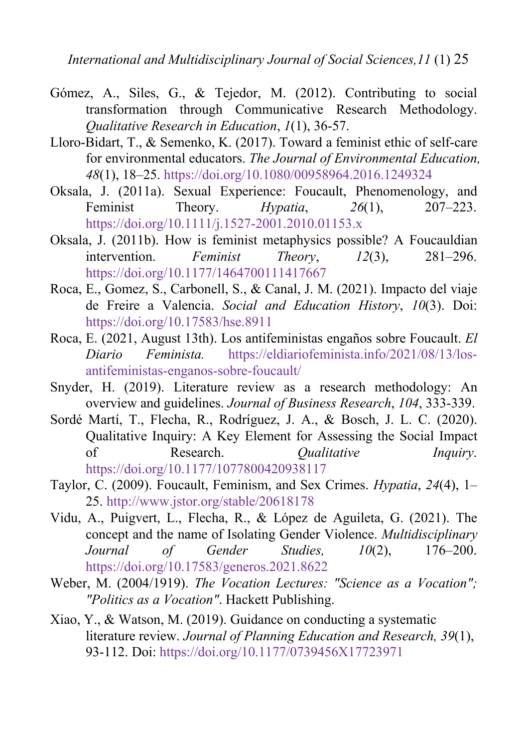- <span id="page-25-0"></span>Gómez, A., Siles, G., & Tejedor, M. (2012). Contributing to social transformation through Communicative Research Methodology. *Qualitative Research in Education*, *1*(1), 36-57.
- Lloro-Bidart, T., & Semenko, K. (2017). Toward a feminist ethic of self-care for environmental educators. *The Journal of Environmental Education, 48*(1), 18–25. [https://doi.org/10.1080/00958964.2016.1249324](https://psycnet.apa.org/doi/10.1080/00958964.2016.1249324)
- Oksala, J. (2011a). Sexual Experience: Foucault, Phenomenology, and Feminist Theory. *Hypatia*, *26*(1), 207–223. <https://doi.org/10.1111/j.1527-2001.2010.01153.x>
- Oksala, J. (2011b). How is feminist metaphysics possible? A Foucauldian intervention. *Feminist Theory*, *12*(3), 281–296. <https://doi.org/10.1177/1464700111417667>
- Roca, E., Gomez, S., Carbonell, S., & Canal, J. M. (2021). Impacto del viaje de Freire a Valencia. *Social and Education History*, *10*(3). Doi: <https://doi.org/10.17583/hse.8911>
- Roca, E. (2021, August 13th). Los antifeministas engaños sobre Foucault. *El Diario Feminista.* [https://eldiariofeminista.info/2021/08/13/los](https://eldiariofeminista.info/2021/08/13/los-antifeministas-enganos-sobre-foucault/) antifeministas-enganos-sobre-foucault/
- Snyder, H. (2019). Literature review as a research methodology: An overview and guidelines. *Journal of Business Research*, *104*, 333-339.
- Sordé Martí, T., Flecha, R., Rodríguez, J. A., & Bosch, J. L. C. (2020). [Qualitative](https://journals.sagepub.com/doi/10.1177/1077800420938104) Inquiry: A Key Element for Assessing the Social Impact of Research. *Qualitative Inquiry*. <https://doi.org/10.1177/1077800420938117>
- Taylor, C. (2009). Foucault, Feminism, and Sex Crimes. *Hypatia*, *24*(4), 1– 25. [http://www.jstor.org/stable/20618178](%20http://www.jstor.org/stable/20618178)
- Vidu, A., Puigvert, L., Flecha, R., & López de Aguileta, G. (2021). The concept and the name of Isolating Gender Violence. *Multidisciplinary Journal of Gender Studies, 10*(2), 176–200. <https://doi.org/10.17583/generos.2021.8622>
- Weber, M. (2004/1919). *The Vocation Lectures: "Science as a Vocation"; "Politics as a Vocation"*. Hackett Publishing.
- Xiao, Y., & Watson, M. (2019). Guidance on conducting a systematic literature review. *Journal of Planning Education and Research, 39*(1), 93-112. Doi: [https://doi.org/10.1177/0739456X17723971](https://doi.org/10.1177%2F0739456X17723971)